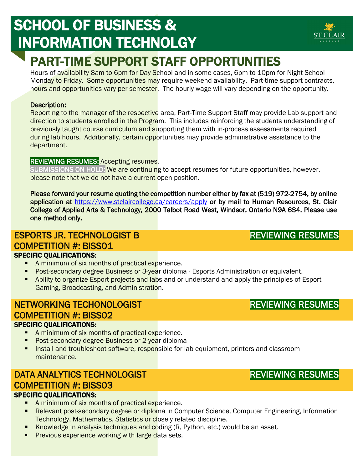# SCHOOL OF BUSINESS & INFORMATION TECHNOLGY

## PART-TIME SUPPORT STAFF OPPORTUNITIES

Hours of availability 8am to 6pm for Day School and in some cases, 6pm to 10pm for Night School Monday to Friday. Some opportunities may require weekend availability. Part-time support contracts, hours and opportunities vary per semester. The hourly wage will vary depending on the opportunity.

#### Description:

l

Reporting to the manager of the respective area, Part-Time Support Staff may provide Lab support and direction to students enrolled in the Program. This includes reinforcing the students understanding of previously taught course curriculum and supporting them with in-process assessments required during lab hours. Additionally, certain opportunities may provide administrative assistance to the department.

#### REVIEWING RESUMES: Accepting resumes.

SUBMISSIONS ON HOLD: We are continuing to accept resumes for future opportunities, however, please note that we do not have a current open position.

Please forward your resume quoting the competition number either by fax at (519) 972-2754, by online application at<https://www.stclaircollege.ca/careers/apply>or by mail to Human Resources, St. Clair College of Applied Arts & Technology, 2000 Talbot Road West, Windsor, Ontario N9A 6S4. Please use one method only.

#### ESPORTS JR. TECHNOLOGIST B COMPETITION #: BISS01 SPECIFIC QUALIFICATIONS:

- A minimum of six months of practical experience.
- **Post-secondary degree Business or 3-yea**r diploma Esports Administration or equivalent.
- **-** Ability to organize Esport projects and labs and or understand and apply the principles of Esport Gaming, Broadcasting, and Administration.

## NETWORKING TECHONOLOGIST COMPETITION #: BISS02

#### SPECIFIC QUALIFICATIONS:

- A minimum of six months of practical experience.
- **Post-secondary degree Business or 2-year diploma**
- **Install and troubleshoot software, responsible for lab equipment, printers and classroom** maintenance.

## DATA ANALYTICS TECHNOLOGIST COMPETITION #: BISS03

#### SPECIFIC QUALIFICATIONS:

- A minimum of six months of practical experience.
- **Relevant post-secondary degree or diploma in Computer Science, Computer Engineering, Information** Technology, Mathematics, Statistics or closely related discipline.
- Knowledge in analysis techniques and coding (R, Python, etc.) would be an asset.
- **Previous experience working with large data sets.**

### REVIEWING RESUMES

## REVIEWING RESUMES



REVIEWING RESUMES